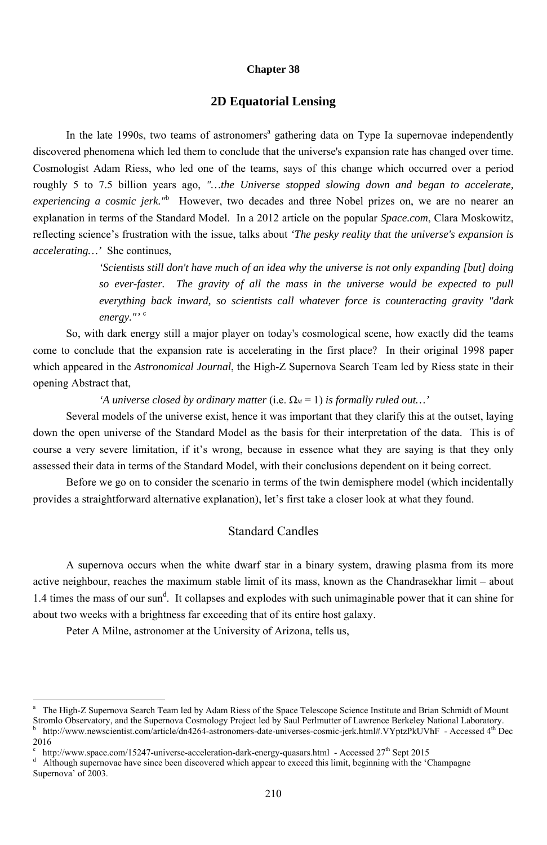#### **Chapter 38**

### **2D Equatorial Lensing**

In the late 1990s, two teams of astronomers<sup>a</sup> gathering data on Type Ia supernovae independently discovered phenomena which led them to conclude that the universe's expansion rate has changed over time. Cosmologist Adam Riess, who led one of the teams, says of this change which occurred over a period roughly 5 to 7.5 billion years ago, *"…the Universe stopped slowing down and began to accelerate, experiencing a cosmic jerk."*<sup>b</sup> However, two decades and three Nobel prizes on, we are no nearer an explanation in terms of the Standard Model. In a 2012 article on the popular *Space.com*, Clara Moskowitz, reflecting science's frustration with the issue, talks about *'The pesky reality that the universe's expansion is accelerating…'* She continues,

> *'Scientists still don't have much of an idea why the universe is not only expanding [but] doing so ever-faster. The gravity of all the mass in the universe would be expected to pull everything back inward, so scientists call whatever force is counteracting gravity "dark energy."'* <sup>c</sup>

So, with dark energy still a major player on today's cosmological scene, how exactly did the teams come to conclude that the expansion rate is accelerating in the first place? In their original 1998 paper which appeared in the *Astronomical Journal*, the High-Z Supernova Search Team led by Riess state in their opening Abstract that,

*'A universe closed by ordinary matter* (i.e.  $\Omega_M = 1$ ) *is formally ruled out...'* 

Several models of the universe exist, hence it was important that they clarify this at the outset, laying down the open universe of the Standard Model as the basis for their interpretation of the data. This is of course a very severe limitation, if it's wrong, because in essence what they are saying is that they only assessed their data in terms of the Standard Model, with their conclusions dependent on it being correct.

Before we go on to consider the scenario in terms of the twin demisphere model (which incidentally provides a straightforward alternative explanation), let's first take a closer look at what they found.

### Standard Candles

A supernova occurs when the white dwarf star in a binary system, drawing plasma from its more active neighbour, reaches the maximum stable limit of its mass, known as the Chandrasekhar limit – about 1.4 times the mass of our sun<sup>d</sup>. It collapses and explodes with such unimaginable power that it can shine for about two weeks with a brightness far exceeding that of its entire host galaxy.

#### Peter A Milne, astronomer at the University of Arizona, tells us,

<sup>-</sup>

 $\ensuremath{\mathbf{c}}$ http://www.space.com/15247-universe-acceleration-dark-energy-quasars.html - Accessed 27<sup>th</sup> Sept 2015

d Although supernovae have since been discovered which appear to exceed this limit, beginning with the 'Champagne Supernova' of 2003.

a The High-Z Supernova Search Team led by Adam Riess of the Space Telescope Science Institute and Brian Schmidt of Mount Stromlo Observatory, and the Supernova Cosmology Project led by Saul Perlmutter of Lawrence Berkeley National Laboratory. b http://www.newscientist.com/article/dn4264-astronomers-date-universes-cosmic-jerk.html#.VYptzPkUVhF - Accessed 4<sup>th</sup> Dec 2016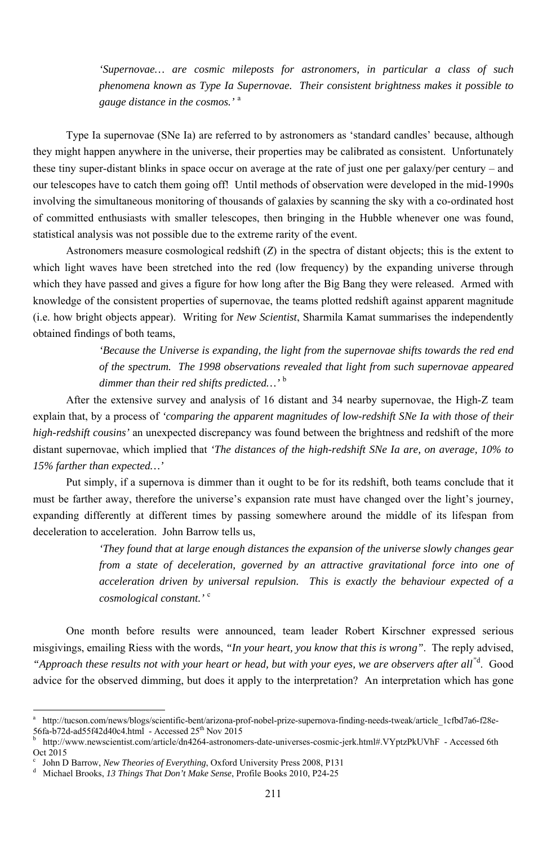*'Supernovae… are cosmic mileposts for astronomers, in particular a class of such phenomena known as Type Ia Supernovae. Their consistent brightness makes it possible to gauge distance in the cosmos.'* <sup>a</sup>

Type Ia supernovae (SNe Ia) are referred to by astronomers as 'standard candles' because, although they might happen anywhere in the universe, their properties may be calibrated as consistent. Unfortunately these tiny super-distant blinks in space occur on average at the rate of just one per galaxy/per century – and our telescopes have to catch them going off! Until methods of observation were developed in the mid-1990s involving the simultaneous monitoring of thousands of galaxies by scanning the sky with a co-ordinated host of committed enthusiasts with smaller telescopes, then bringing in the Hubble whenever one was found, statistical analysis was not possible due to the extreme rarity of the event.

Astronomers measure cosmological redshift  $(Z)$  in the spectra of distant objects; this is the extent to which light waves have been stretched into the red (low frequency) by the expanding universe through which they have passed and gives a figure for how long after the Big Bang they were released. Armed with knowledge of the consistent properties of supernovae, the teams plotted redshift against apparent magnitude (i.e. how bright objects appear). Writing for *New Scientist*, Sharmila Kamat summarises the independently obtained findings of both teams,

> *'Because the Universe is expanding, the light from the supernovae shifts towards the red end of the spectrum. The 1998 observations revealed that light from such supernovae appeared dimmer than their red shifts predicted…'* <sup>b</sup>

After the extensive survey and analysis of 16 distant and 34 nearby supernovae, the High-Z team explain that, by a process of *'comparing the apparent magnitudes of low-redshift SNe Ia with those of their high-redshift cousins'* an unexpected discrepancy was found between the brightness and redshift of the more distant supernovae, which implied that *'The distances of the high-redshift SNe Ia are, on average, 10% to 15% farther than expected…'* 

Put simply, if a supernova is dimmer than it ought to be for its redshift, both teams conclude that it must be farther away, therefore the universe's expansion rate must have changed over the light's journey, expanding differently at different times by passing somewhere around the middle of its lifespan from deceleration to acceleration. John Barrow tells us,

> *'They found that at large enough distances the expansion of the universe slowly changes gear from a state of deceleration, governed by an attractive gravitational force into one of acceleration driven by universal repulsion. This is exactly the behaviour expected of a cosmological constant.'* <sup>c</sup>

One month before results were announced, team leader Robert Kirschner expressed serious misgivings, emailing Riess with the words, *"In your heart, you know that this is wrong"*. The reply advised, *"Approach these results not with your heart or head, but with your eyes, we are observers after all"*<sup>d</sup> . Good advice for the observed dimming, but does it apply to the interpretation? An interpretation which has gone

b http://www.newscientist.com/article/dn4264-astronomers-date-universes-cosmic-jerk.html#.VYptzPkUVhF - Accessed 6th Oct 2015

<sup>-</sup>

<sup>211</sup>

a http://tucson.com/news/blogs/scientific-bent/arizona-prof-nobel-prize-supernova-finding-needs-tweak/article\_1cfbd7a6-f28e-56fa-b72d-ad55f42d40c4.html - Accessed 25<sup>th</sup> Nov 2015

c John D Barrow, *New Theories of Everything*, Oxford University Press 2008, P131

d Michael Brooks, *13 Things That Don't Make Sense*, Profile Books 2010, P24-25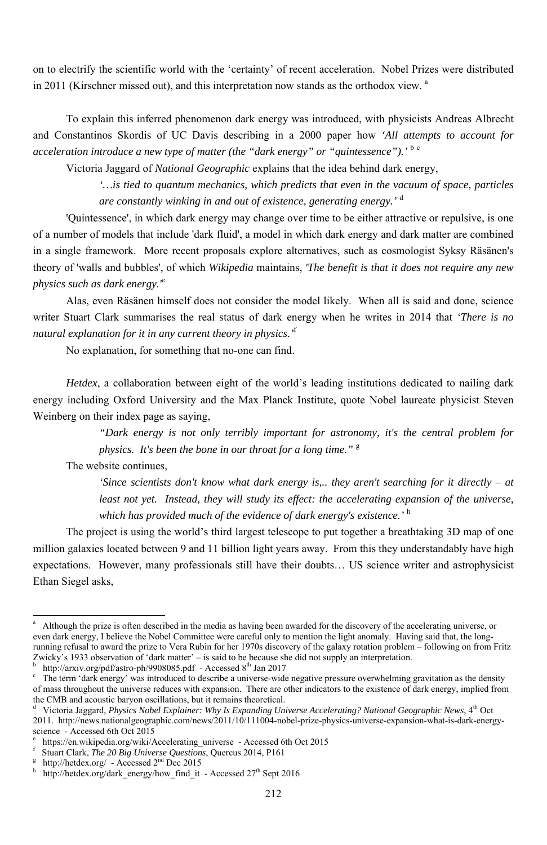on to electrify the scientific world with the 'certainty' of recent acceleration. Nobel Prizes were distributed in 2011 (Kirschner missed out), and this interpretation now stands as the orthodox view.<sup>a</sup>

To explain this inferred phenomenon dark energy was introduced, with physicists Andreas Albrecht and Constantinos Skordis of UC Davis describing in a 2000 paper how *'All attempts to account for acceleration introduce a new type of matter (the "dark energy" or "quintessence").'* <sup>b</sup> <sup>c</sup>

Victoria Jaggard of *National Geographic* explains that the idea behind dark energy,

*'…is tied to quantum mechanics, which predicts that even in the vacuum of space, particles are constantly winking in and out of existence, generating energy.'* <sup>d</sup>

*Hetdex*, a collaboration between eight of the world's leading institutions dedicated to nailing dark energy including Oxford University and the Max Planck Institute, quote Nobel laureate physicist Steven Weinberg on their index page as saying,

'Quintessence', in which dark energy may change over time to be either attractive or repulsive, is one of a number of models that include 'dark fluid', a model in which dark energy and dark matter are combined in a single framework. More recent proposals explore alternatives, such as cosmologist Syksy Räsänen's theory of 'walls and bubbles', of which *Wikipedia* maintains, *'The benefit is that it does not require any new physics such as dark energy.'*<sup>e</sup> 

Alas, even Räsänen himself does not consider the model likely. When all is said and done, science writer Stuart Clark summarises the real status of dark energy when he writes in 2014 that *'There is no natural explanation for it in any current theory in physics.'*<sup>f</sup>

No explanation, for something that no-one can find.

b <sup>b</sup> http://arxiv.org/pdf/astro-ph/9908085.pdf - Accessed 8<sup>th</sup> Jan 2017

*"Dark energy is not only terribly important for astronomy, it's the central problem for physics. It's been the bone in our throat for a long time."* <sup>g</sup>

The website continues,

<sup>-</sup>

h http://hetdex.org/dark\_energy/how\_find\_it - Accessed 27<sup>th</sup> Sept 2016

*'Since scientists don't know what dark energy is,.. they aren't searching for it directly – at least not yet. Instead, they will study its effect: the accelerating expansion of the universe, which has provided much of the evidence of dark energy's existence.'* <sup>h</sup>

The project is using the world's third largest telescope to put together a breathtaking 3D map of one million galaxies located between 9 and 11 billion light years away. From this they understandably have high expectations. However, many professionals still have their doubts… US science writer and astrophysicist Ethan Siegel asks,

a Although the prize is often described in the media as having been awarded for the discovery of the accelerating universe, or even dark energy, I believe the Nobel Committee were careful only to mention the light anomaly. Having said that, the longrunning refusal to award the prize to Vera Rubin for her 1970s discovery of the galaxy rotation problem – following on from Fritz Zwicky's 1933 observation of 'dark matter' – is said to be because she did not supply an interpretation.

 The term 'dark energy' was introduced to describe a universe-wide negative pressure overwhelming gravitation as the density of mass throughout the universe reduces with expansion. There are other indicators to the existence of dark energy, implied from the CMB and acoustic baryon oscillations, but it remains theoretical.

d Victoria Jaggard, *Physics Nobel Explainer: Why Is Expanding Universe Accelerating? National Geographic News*, 4th Oct 2011. http://news.nationalgeographic.com/news/2011/10/111004-nobel-prize-physics-universe-expansion-what-is-dark-energyscience - Accessed 6th Oct 2015

e https://en.wikipedia.org/wiki/Accelerating\_universe - Accessed 6th Oct 2015

f Stuart Clark, *The 20 Big Universe Questions*, Quercus 2014, P161

g http://hetdex.org/ - Accessed 2nd Dec 2015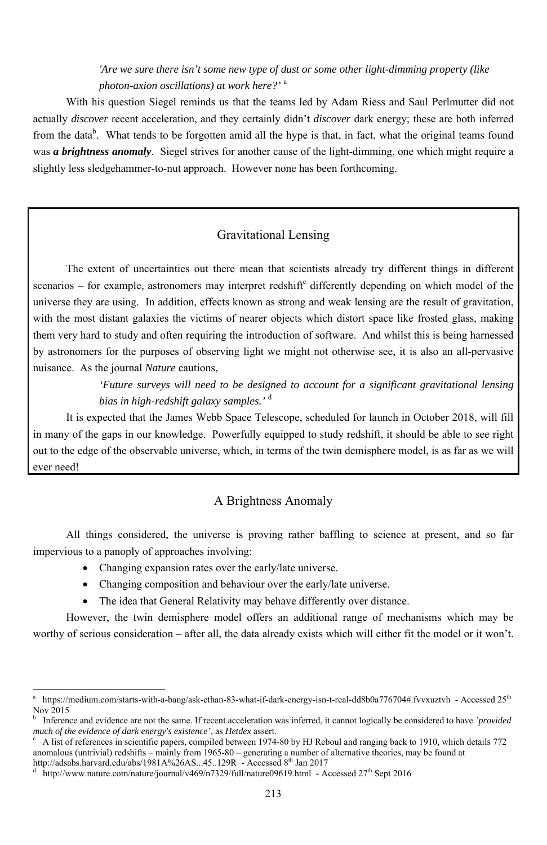*'Are we sure there isn't some new type of dust or some other light-dimming property (like photon-axion oscillations) at work here?'* <sup>a</sup>

With his question Siegel reminds us that the teams led by Adam Riess and Saul Perlmutter did not actually *discover* recent acceleration, and they certainly didn't *discover* dark energy; these are both inferred from the data<sup>b</sup>. What tends to be forgotten amid all the hype is that, in fact, what the original teams found was *a brightness anomaly*. Siegel strives for another cause of the light-dimming, one which might require a slightly less sledgehammer-to-nut approach. However none has been forthcoming.

# Gravitational Lensing

The extent of uncertainties out there mean that scientists already try different things in different scenarios – for example, astronomers may interpret redshift<sup>c</sup> differently depending on which model of the universe they are using. In addition, effects known as strong and weak lensing are the result of gravitation, with the most distant galaxies the victims of nearer objects which distort space like frosted glass, making them very hard to study and often requiring the introduction of software. And whilst this is being harnessed by astronomers for the purposes of observing light we might not otherwise see, it is also an all-pervasive nuisance. As the journal *Nature* cautions,

- Changing composition and behaviour over the early/late universe.
- The idea that General Relativity may behave differently over distance.

 $\degree$  A list of references in scientific papers, compiled between 1974-80 by HJ Reboul and ranging back to 1910, which details 772 anomalous (untrivial) redshifts – mainly from 1965-80 – generating a number of alternative theories, may be found at http://adsabs.harvard.edu/abs/1981A%26AS...45..129R - Accessed 8<sup>th</sup> Jan 2017

<sup>d</sup> http://www.nature.com/nature/journal/v469/n7329/full/nature09619.html - Accessed 27<sup>th</sup> Sept 2016

*'Future surveys will need to be designed to account for a significant gravitational lensing bias in high-redshift galaxy samples.'* <sup>d</sup>

It is expected that the James Webb Space Telescope, scheduled for launch in October 2018, will fill in many of the gaps in our knowledge. Powerfully equipped to study redshift, it should be able to see right out to the edge of the observable universe, which, in terms of the twin demisphere model, is as far as we will ever need!

# A Brightness Anomaly

All things considered, the universe is proving rather baffling to science at present, and so far impervious to a panoply of approaches involving:

• Changing expansion rates over the early/late universe.

-

However, the twin demisphere model offers an additional range of mechanisms which may be

# worthy of serious consideration – after all, the data already exists which will either fit the model or it won't.

b Inference and evidence are not the same. If recent acceleration was inferred, it cannot logically be considered to have *'provided much of the evidence of dark energy's existence', as Hetdex assert.* 

a https://medium.com/starts-with-a-bang/ask-ethan-83-what-if-dark-energy-isn-t-real-dd8b0a776704#.fvvxuztvh - Accessed 25th Nov 2015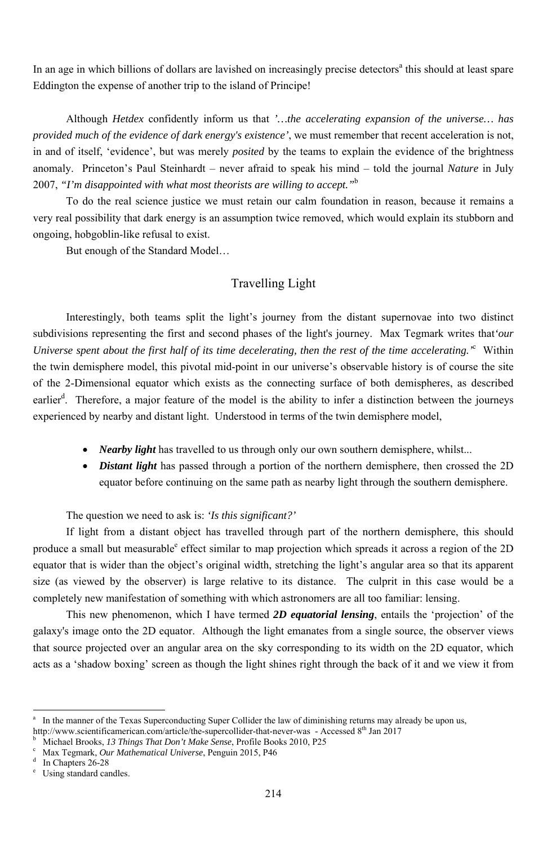In an age in which billions of dollars are lavished on increasingly precise detectors<sup>a</sup> this should at least spare Eddington the expense of another trip to the island of Principe!

Although *Hetdex* confidently inform us that *'…the accelerating expansion of the universe… has provided much of the evidence of dark energy's existence'*, we must remember that recent acceleration is not, in and of itself, 'evidence', but was merely *posited* by the teams to explain the evidence of the brightness anomaly. Princeton's Paul Steinhardt – never afraid to speak his mind – told the journal *Nature* in July 2007, *"I'm disappointed with what most theorists are willing to accept."*<sup>b</sup>

To do the real science justice we must retain our calm foundation in reason, because it remains a very real possibility that dark energy is an assumption twice removed, which would explain its stubborn and ongoing, hobgoblin-like refusal to exist.

But enough of the Standard Model…

# Travelling Light

- *Nearby light* has travelled to us through only our own southern demisphere, whilst...
- *Distant light* has passed through a portion of the northern demisphere, then crossed the 2D equator before continuing on the same path as nearby light through the southern demisphere.

Interestingly, both teams split the light's journey from the distant supernovae into two distinct subdivisions representing the first and second phases of the light's journey. Max Tegmark writes that*'our Universe spent about the first half of its time decelerating, then the rest of the time accelerating.'*<sup>c</sup> Within the twin demisphere model, this pivotal mid-point in our universe's observable history is of course the site of the 2-Dimensional equator which exists as the connecting surface of both demispheres, as described earlier<sup>d</sup>. Therefore, a major feature of the model is the ability to infer a distinction between the journeys experienced by nearby and distant light. Understood in terms of the twin demisphere model,

The question we need to ask is: *'Is this significant?'*

If light from a distant object has travelled through part of the northern demisphere, this should produce a small but measurable effect similar to map projection which spreads it across a region of the 2D equator that is wider than the object's original width, stretching the light's angular area so that its apparent size (as viewed by the observer) is large relative to its distance. The culprit in this case would be a completely new manifestation of something with which astronomers are all too familiar: lensing.

This new phenomenon, which I have termed *2D equatorial lensing*, entails the 'projection' of the

galaxy's image onto the 2D equator. Although the light emanates from a single source, the observer views that source projected over an angular area on the sky corresponding to its width on the 2D equator, which acts as a 'shadow boxing' screen as though the light shines right through the back of it and we view it from

- Max Tegmark, *Our Mathematical Universe*, Penguin 2015, P46
- d In Chapters 26-28

<sup>-</sup>

e Using standard candles.

a In the manner of the Texas Superconducting Super Collider the law of diminishing returns may already be upon us, http://www.scientificamerican.com/article/the-supercollider-that-never-was - Accessed 8<sup>th</sup> Jan 2017

b <sup>b</sup> Michael Brooks, *13 Things That Don't Make Sense*, Profile Books 2010, P25<sup>c</sup> Max Tegmark *Our Mathematical Universe* Penguin 2015 P46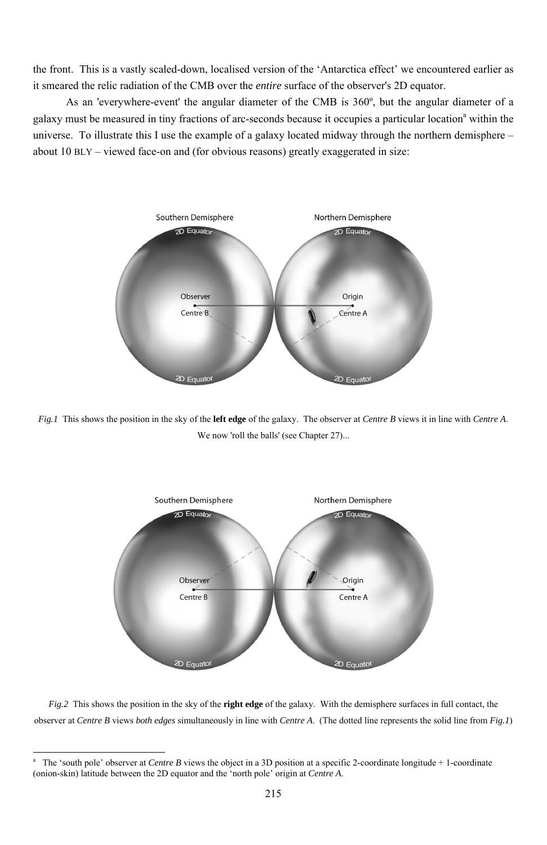the front. This is a vastly scaled-down, localised version of the 'Antarctica effect' we encountered earlier as it smeared the relic radiation of the CMB over the *entire* surface of the observer's 2D equator.



*Fig.1* This shows the position in the sky of the **left edge** of the galaxy. The observer at *Centre B* views it in line with *Centre A*. We now 'roll the balls' (see Chapter 27)...



As an 'everywhere-event' the angular diameter of the CMB is 360º, but the angular diameter of a galaxy must be measured in tiny fractions of arc-seconds because it occupies a particular location<sup>a</sup> within the universe. To illustrate this I use the example of a galaxy located midway through the northern demisphere – about 10 BLY – viewed face-on and (for obvious reasons) greatly exaggerated in size:

*Fig.2* This shows the position in the sky of the **right edge** of the galaxy. With the demisphere surfaces in full contact, the observer at *Centre B* views *both edges* simultaneously in line with *Centre A*. (The dotted line represents the solid line from *Fig.1*)

-

<sup>215</sup>

a The 'south pole' observer at *Centre B* views the object in a 3D position at a specific 2-coordinate longitude + 1-coordinate (onion-skin) latitude between the 2D equator and the 'north pole' origin at *Centre A*.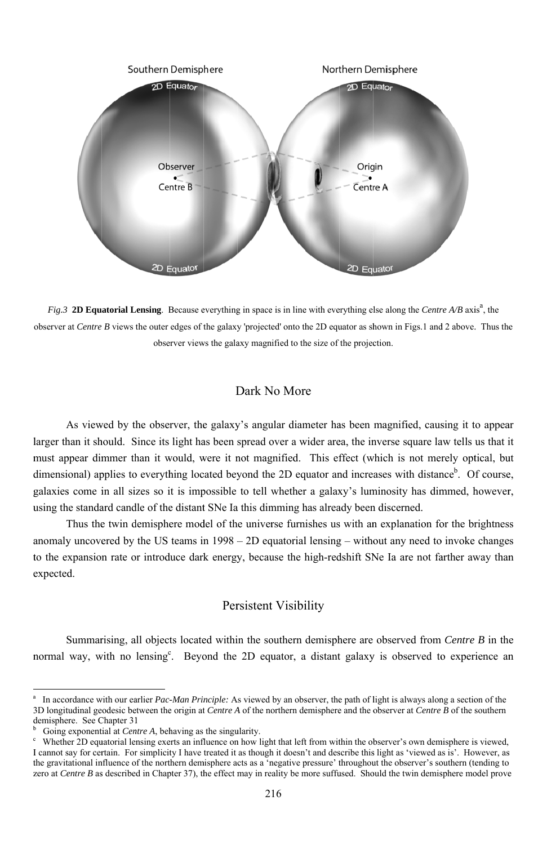

*Fig.3* 2D Equatorial Lensing. Because everything in space is in line with everything else along the *Centre A/B* axis<sup>a</sup>, the observer at *Centre B* views the outer edges of the galaxy 'projected' onto the 2D equator as shown in Figs.1 and 2 above. Thus the observer views the galaxy magnified to the size of the projection. he<br>ar

### Dark No More

larger than it should. Since its light has been spread over a wider area, the inverse square law tells us that it must appear dimmer than it would, were it not magnified. This effect (which is not merely optical, but dimensional) applies to everything located beyond the 2D equator and increases with distance<sup>b</sup>. Of course, galaxies come in all sizes so it is impossible to tell whether a galaxy's luminosity has dimmed, however, using the standard candle of the distant SNe Ia this dimming has already been discerned. As viewed by the observer, the galaxy's angular diameter has been magnified, causing it to appea

anomaly uncovered by the US teams in  $1998 - 2D$  equatorial lensing – without any need to invoke changes to the expansion rate or introduce dark energy, because the high-redshift SNe Ia are not farther away than expected. Thus the twin demisphere model of the universe furnishes us with an explanation for the brightness n<br>e

# Persistent Visibility

normal way, with no lensing<sup>c</sup>. Beyond the 2D equator, a distant galaxy is observed to experience an Summarising, all objects located within the southern demisphere are observed from *Centre B* in th

l

l

2 16

a 3D longitudinal geodesic between the origin at *Centre A* of the northern demisphere and the observer at *Centre B* of the southern demisphere. See Chapter 31 In acco ordance w with our ea arlier *Pac-Man Principle*: As viewed by an observer, the path of light is always along a section of the

b Going exponential at *Centre A*, behaving as the singularity.

c I cannot say for certain. For simplicity I have treated it as though it doesn't and describe this light as 'viewed as is'. However, as the gravitational influence of the northern demisphere acts as a 'negative pressure' throughout the observer's southern (tending to zero at *Centre B* as described in Chapter 37), the effect may in reality be more suffused. Should the twin demisphere model prove Whether 2D equatorial lensing exerts an influence on how light that left from within the observer's own demisphere is viewed, s<br>b<br>re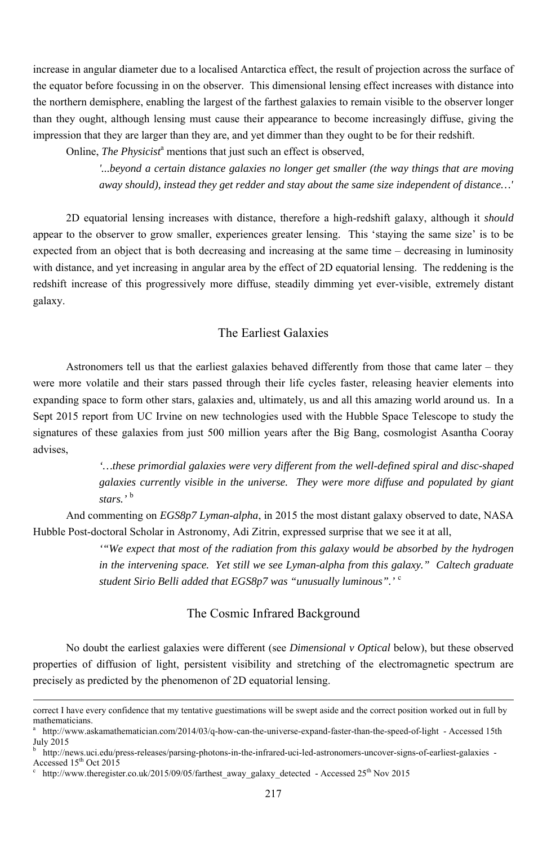increase in angular diameter due to a localised Antarctica effect, the result of projection across the surface of the equator before focussing in on the observer. This dimensional lensing effect increases with distance into the northern demisphere, enabling the largest of the farthest galaxies to remain visible to the observer longer than they ought, although lensing must cause their appearance to become increasingly diffuse, giving the impression that they are larger than they are, and yet dimmer than they ought to be for their redshift.

Online, *The Physicist*<sup>a</sup> mentions that just such an effect is observed,

*'...beyond a certain distance galaxies no longer get smaller (the way things that are moving away should), instead they get redder and stay about the same size independent of distance…'* 

2D equatorial lensing increases with distance, therefore a high-redshift galaxy, although it *should* appear to the observer to grow smaller, experiences greater lensing. This 'staying the same size' is to be expected from an object that is both decreasing and increasing at the same time – decreasing in luminosity with distance, and yet increasing in angular area by the effect of 2D equatorial lensing. The reddening is the redshift increase of this progressively more diffuse, steadily dimming yet ever-visible, extremely distant galaxy.

# The Earliest Galaxies

b http://news.uci.edu/press-releases/parsing-photons-in-the-infrared-uci-led-astronomers-uncover-signs-of-earliest-galaxies - Accessed  $15<sup>th</sup>$  Oct 2015

http://www.theregister.co.uk/2015/09/05/farthest\_away\_galaxy\_detected - Accessed 25<sup>th</sup> Nov 2015

Astronomers tell us that the earliest galaxies behaved differently from those that came later – they were more volatile and their stars passed through their life cycles faster, releasing heavier elements into expanding space to form other stars, galaxies and, ultimately, us and all this amazing world around us. In a Sept 2015 report from UC Irvine on new technologies used with the Hubble Space Telescope to study the signatures of these galaxies from just 500 million years after the Big Bang, cosmologist Asantha Cooray advises,

> *'…these primordial galaxies were very different from the well-defined spiral and disc-shaped galaxies currently visible in the universe. They were more diffuse and populated by giant stars.'* <sup>b</sup>

And commenting on *EGS8p7 Lyman-alpha*, in 2015 the most distant galaxy observed to date, NASA Hubble Post-doctoral Scholar in Astronomy, Adi Zitrin, expressed surprise that we see it at all,

> *'"We expect that most of the radiation from this galaxy would be absorbed by the hydrogen in the intervening space. Yet still we see Lyman-alpha from this galaxy." Caltech graduate student Sirio Belli added that EGS8p7 was "unusually luminous".'* <sup>c</sup>

> > The Cosmic Infrared Background

No doubt the earliest galaxies were different (see *Dimensional v Optical* below), but these observed properties of diffusion of light, persistent visibility and stretching of the electromagnetic spectrum are precisely as predicted by the phenomenon of 2D equatorial lensing.

 correct I have every confidence that my tentative guestimations will be swept aside and the correct position worked out in full by mathematicians.

a http://www.askamathematician.com/2014/03/q-how-can-the-universe-expand-faster-than-the-speed-of-light - Accessed 15th July 2015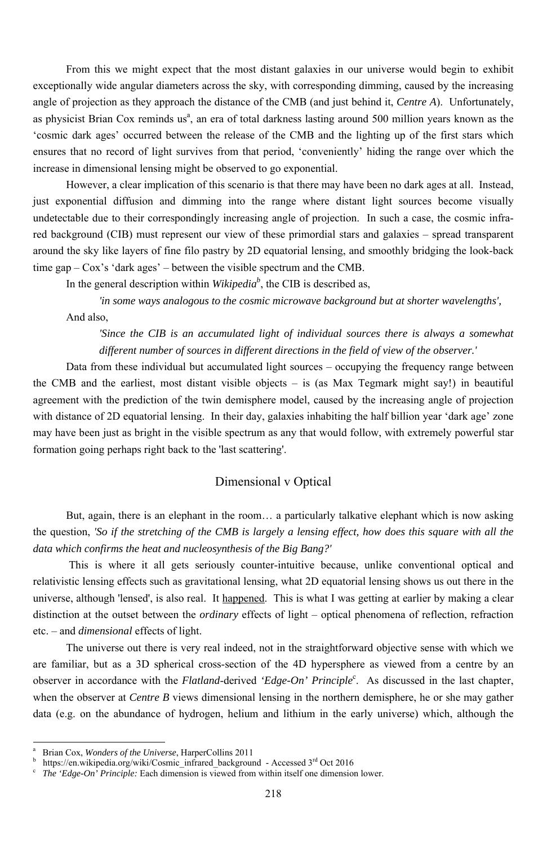From this we might expect that the most distant galaxies in our universe would begin to exhibit exceptionally wide angular diameters across the sky, with corresponding dimming, caused by the increasing angle of projection as they approach the distance of the CMB (and just behind it, *Centre A*). Unfortunately, as physicist Brian Cox reminds us<sup>a</sup>, an era of total darkness lasting around 500 million years known as the 'cosmic dark ages' occurred between the release of the CMB and the lighting up of the first stars which ensures that no record of light survives from that period, 'conveniently' hiding the range over which the increase in dimensional lensing might be observed to go exponential.

> *'Since the CIB is an accumulated light of individual sources there is always a somewhat different number of sources in different directions in the field of view of the observer.'*

However, a clear implication of this scenario is that there may have been no dark ages at all. Instead, just exponential diffusion and dimming into the range where distant light sources become visually undetectable due to their correspondingly increasing angle of projection. In such a case, the cosmic infrared background (CIB) must represent our view of these primordial stars and galaxies – spread transparent around the sky like layers of fine filo pastry by 2D equatorial lensing, and smoothly bridging the look-back time gap – Cox's 'dark ages' – between the visible spectrum and the CMB.

In the general description within *Wikipedia*<sup>b</sup>, the CIB is described as,

*'in some ways analogous to the cosmic microwave background but at shorter wavelengths',*  And also,

Data from these individual but accumulated light sources – occupying the frequency range between the CMB and the earliest, most distant visible objects – is (as Max Tegmark might say!) in beautiful agreement with the prediction of the twin demisphere model, caused by the increasing angle of projection with distance of 2D equatorial lensing. In their day, galaxies inhabiting the half billion year 'dark age' zone may have been just as bright in the visible spectrum as any that would follow, with extremely powerful star formation going perhaps right back to the 'last scattering'.

# Dimensional v Optical

But, again, there is an elephant in the room… a particularly talkative elephant which is now asking the question, *'So if the stretching of the CMB is largely a lensing effect, how does this square with all the data which confirms the heat and nucleosynthesis of the Big Bang?'*

 This is where it all gets seriously counter-intuitive because, unlike conventional optical and relativistic lensing effects such as gravitational lensing, what 2D equatorial lensing shows us out there in the universe, although 'lensed', is also real. It happened. This is what I was getting at earlier by making a clear distinction at the outset between the *ordinary* effects of light – optical phenomena of reflection, refraction

etc. – and *dimensional* effects of light.

-

The universe out there is very real indeed, not in the straightforward objective sense with which we are familiar, but as a 3D spherical cross-section of the 4D hypersphere as viewed from a centre by an observer in accordance with the *Flatland*-derived 'Edge-On' Principle<sup>c</sup>. As discussed in the last chapter, when the observer at *Centre B* views dimensional lensing in the northern demisphere, he or she may gather data (e.g. on the abundance of hydrogen, helium and lithium in the early universe) which, although the

<sup>218</sup>

b <sup>b</sup> https://en.wikipedia.org/wiki/Cosmic\_infrared\_background - Accessed 3<sup>rd</sup> Oct 2016<br><sup>c</sup> The 'Edge-On' Principle: Each dimension is viewed from within itself one dimension

a Brian Cox, *Wonders of the Universe*, HarperCollins 2011

*The 'Edge-On' Principle:* Each dimension is viewed from within itself one dimension lower.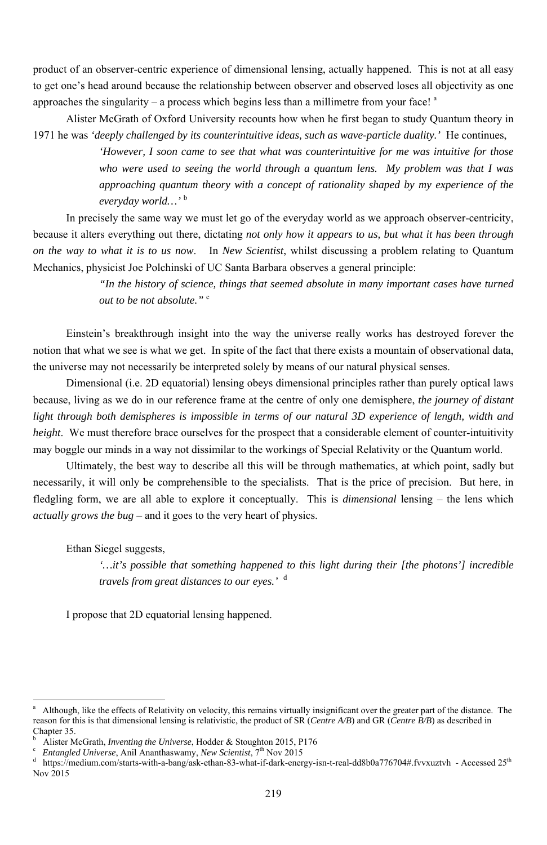product of an observer-centric experience of dimensional lensing, actually happened. This is not at all easy to get one's head around because the relationship between observer and observed loses all objectivity as one approaches the singularity – a process which begins less than a millimetre from your face!  $a$ 

Alister McGrath of Oxford University recounts how when he first began to study Quantum theory in 1971 he was *'deeply challenged by its counterintuitive ideas, such as wave-particle duality.'* He continues,

> *'However, I soon came to see that what was counterintuitive for me was intuitive for those who were used to seeing the world through a quantum lens. My problem was that I was approaching quantum theory with a concept of rationality shaped by my experience of the everyday world…'* <sup>b</sup>

In precisely the same way we must let go of the everyday world as we approach observer-centricity, because it alters everything out there, dictating *not only how it appears to us, but what it has been through on the way to what it is to us now*. In *New Scientist*, whilst discussing a problem relating to Quantum Mechanics, physicist Joe Polchinski of UC Santa Barbara observes a general principle:

> *"In the history of science, things that seemed absolute in many important cases have turned out to be not absolute."* <sup>c</sup>

Einstein's breakthrough insight into the way the universe really works has destroyed forever the notion that what we see is what we get. In spite of the fact that there exists a mountain of observational data, the universe may not necessarily be interpreted solely by means of our natural physical senses.

- b <sup>b</sup> Alister McGrath, *Inventing the Universe*, Hodder & Stoughton 2015, P176 <sup>c</sup> *Entangled Universe* Anil Ananthaswamy *New Scientist*  $7<sup>th</sup>$  Nov 2015
- *Entangled Universe, Anil Ananthaswamy, New Scientist*, 7<sup>th</sup> Nov 2015

Dimensional (i.e. 2D equatorial) lensing obeys dimensional principles rather than purely optical laws because, living as we do in our reference frame at the centre of only one demisphere, *the journey of distant light through both demispheres is impossible in terms of our natural 3D experience of length, width and height*. We must therefore brace ourselves for the prospect that a considerable element of counter-intuitivity may boggle our minds in a way not dissimilar to the workings of Special Relativity or the Quantum world.

Ultimately, the best way to describe all this will be through mathematics, at which point, sadly but necessarily, it will only be comprehensible to the specialists. That is the price of precision. But here, in fledgling form, we are all able to explore it conceptually. This is *dimensional* lensing – the lens which *actually grows the bug* – and it goes to the very heart of physics.

Ethan Siegel suggests,

<sup>-</sup>

*'…it's possible that something happened to this light during their [the photons'] incredible travels from great distances to our eyes.'* <sup>d</sup>

I propose that 2D equatorial lensing happened.

d https://medium.com/starts-with-a-bang/ask-ethan-83-what-if-dark-energy-isn-t-real-dd8b0a776704#.fvvxuztvh - Accessed 25<sup>th</sup> Nov 2015

a Although, like the effects of Relativity on velocity, this remains virtually insignificant over the greater part of the distance. The reason for this is that dimensional lensing is relativistic, the product of SR (*Centre A/B*) and GR (*Centre B/B*) as described in Chapter 35.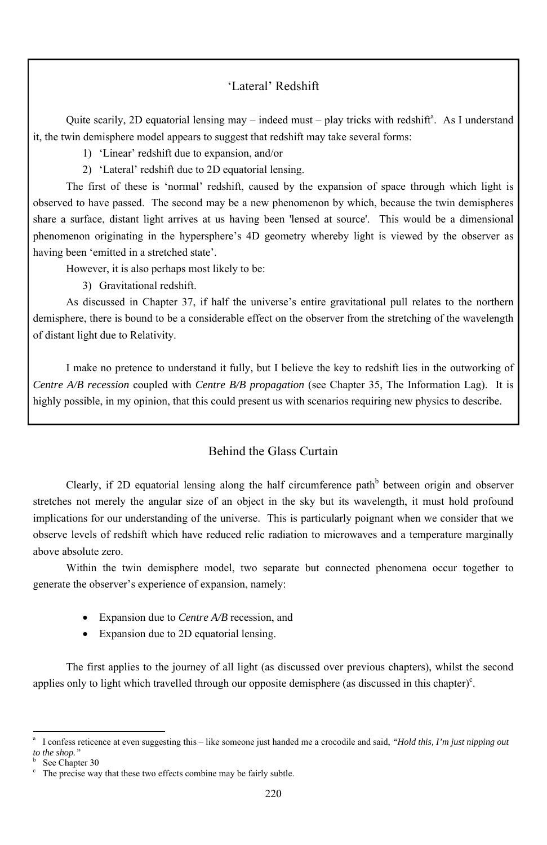# 'Lateral' Redshift

Quite scarily, 2D equatorial lensing may  $-$  indeed must  $-$  play tricks with redshift<sup>a</sup>. As I understand it, the twin demisphere model appears to suggest that redshift may take several forms:

1) 'Linear' redshift due to expansion, and/or

2) 'Lateral' redshift due to 2D equatorial lensing.

The first of these is 'normal' redshift, caused by the expansion of space through which light is observed to have passed. The second may be a new phenomenon by which, because the twin demispheres share a surface, distant light arrives at us having been 'lensed at source'. This would be a dimensional phenomenon originating in the hypersphere's 4D geometry whereby light is viewed by the observer as having been 'emitted in a stretched state'.

However, it is also perhaps most likely to be:

3) Gravitational redshift.

Clearly, if 2D equatorial lensing along the half circumference path $<sup>b</sup>$  between origin and observer</sup> stretches not merely the angular size of an object in the sky but its wavelength, it must hold profound implications for our understanding of the universe. This is particularly poignant when we consider that we observe levels of redshift which have reduced relic radiation to microwaves and a temperature marginally above absolute zero.

As discussed in Chapter 37, if half the universe's entire gravitational pull relates to the northern demisphere, there is bound to be a considerable effect on the observer from the stretching of the wavelength of distant light due to Relativity.

The first applies to the journey of all light (as discussed over previous chapters), whilst the second applies only to light which travelled through our opposite demisphere (as discussed in this chapter) $\text{c}$ .

I make no pretence to understand it fully, but I believe the key to redshift lies in the outworking of *Centre A/B recession* coupled with *Centre B/B propagation* (see Chapter 35, The Information Lag). It is highly possible, in my opinion, that this could present us with scenarios requiring new physics to describe.

### Behind the Glass Curtain

Within the twin demisphere model, two separate but connected phenomena occur together to generate the observer's experience of expansion, namely:

- Expansion due to *Centre A/B* recession, and
- 
- Expansion due to 2D equatorial lensing.

-

c The precise way that these two effects combine may be fairly subtle.

a I confess reticence at even suggesting this – like someone just handed me a crocodile and said, *"Hold this, I'm just nipping out to the shop."*

b See Chapter 30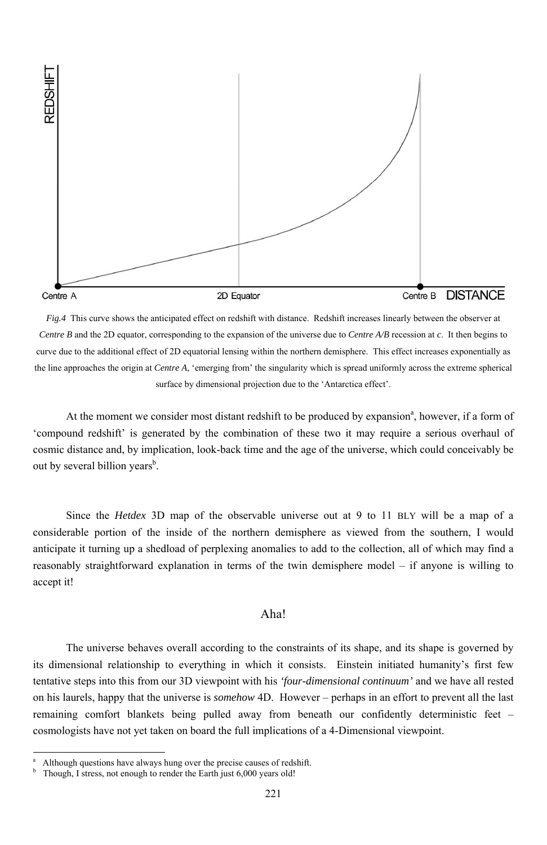



At the moment we consider most distant redshift to be produced by expansion<sup>a</sup>, however, if a form of 'compound redshift' is generated by the combination of these two it may require a serious overhaul of cosmic distance and, by implication, look-back time and the age of the universe, which could conceivably be out by several billion years<sup>b</sup>.

Since the *Hetdex* 3D map of the observable universe out at 9 to 11 BLY will be a map of a considerable portion of the inside of the northern demisphere as viewed from the southern, I would anticipate it turning up a shedload of perplexing anomalies to add to the collection, all of which may find a reasonably straightforward explanation in terms of the twin demisphere model – if anyone is willing to accept it!

The universe behaves overall according to the constraints of its shape, and its shape is governed by its dimensional relationship to everything in which it consists. Einstein initiated humanity's first few tentative steps into this from our 3D viewpoint with his *'four-dimensional continuum'* and we have all rested on his laurels, happy that the universe is *somehow* 4D. However – perhaps in an effort to prevent all the last remaining comfort blankets being pulled away from beneath our confidently deterministic feet – cosmologists have not yet taken on board the full implications of a 4-Dimensional viewpoint.

-

<sup>221</sup>

a Although questions have always hung over the precise causes of redshift.

b Though, I stress, not enough to render the Earth just 6,000 years old!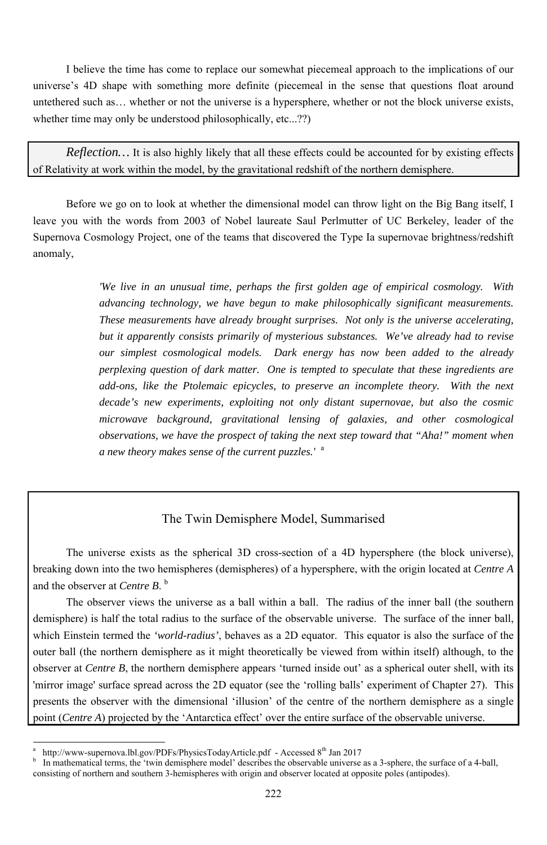I believe the time has come to replace our somewhat piecemeal approach to the implications of our universe's 4D shape with something more definite (piecemeal in the sense that questions float around untethered such as… whether or not the universe is a hypersphere, whether or not the block universe exists, whether time may only be understood philosophically, etc...??)

*Reflection*... It is also highly likely that all these effects could be accounted for by existing effects of Relativity at work within the model, by the gravitational redshift of the northern demisphere.

Before we go on to look at whether the dimensional model can throw light on the Big Bang itself, I leave you with the words from 2003 of Nobel laureate Saul Perlmutter of UC Berkeley, leader of the Supernova Cosmology Project, one of the teams that discovered the Type Ia supernovae brightness/redshift anomaly,

The observer views the universe as a ball within a ball. The radius of the inner ball (the southern demisphere) is half the total radius to the surface of the observable universe. The surface of the inner ball, which Einstein termed the *'world-radius'*, behaves as a 2D equator. This equator is also the surface of the outer ball (the northern demisphere as it might theoretically be viewed from within itself) although, to the observer at *Centre B*, the northern demisphere appears 'turned inside out' as a spherical outer shell, with its 'mirror image' surface spread across the 2D equator (see the 'rolling balls' experiment of Chapter 27). This presents the observer with the dimensional 'illusion' of the centre of the northern demisphere as a single point (*Centre A*) projected by the 'Antarctica effect' over the entire surface of the observable universe.

*'We live in an unusual time, perhaps the first golden age of empirical cosmology. With advancing technology, we have begun to make philosophically significant measurements. These measurements have already brought surprises. Not only is the universe accelerating, but it apparently consists primarily of mysterious substances. We've already had to revise our simplest cosmological models. Dark energy has now been added to the already perplexing question of dark matter. One is tempted to speculate that these ingredients are add-ons, like the Ptolemaic epicycles, to preserve an incomplete theory. With the next decade's new experiments, exploiting not only distant supernovae, but also the cosmic microwave background, gravitational lensing of galaxies, and other cosmological observations, we have the prospect of taking the next step toward that "Aha!" moment when a new theory makes sense of the current puzzles.'* <sup>a</sup>

-

### The Twin Demisphere Model, Summarised

The universe exists as the spherical 3D cross-section of a 4D hypersphere (the block universe), breaking down into the two hemispheres (demispheres) of a hypersphere, with the origin located at *Centre A* and the observer at *Centre B*. b

<sup>222</sup>

a http://www-supernova.lbl.gov/PDFs/PhysicsTodayArticle.pdf - Accessed 8<sup>th</sup> Jan 2017

b In mathematical terms, the 'twin demisphere model' describes the observable universe as a 3-sphere, the surface of a 4-ball, consisting of northern and southern 3-hemispheres with origin and observer located at opposite poles (antipodes).